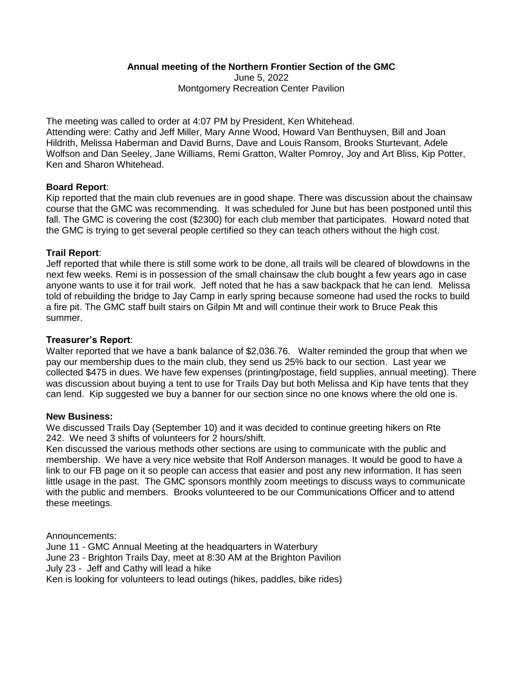# **Annual meeting of the Northern Frontier Section of the GMC**

June 5, 2022 Montgomery Recreation Center Pavilion

The meeting was called to order at 4:07 PM by President, Ken Whitehead. Attending were: Cathy and Jeff Miller, Mary Anne Wood, Howard Van Benthuysen, Bill and Joan Hildrith, Melissa Haberman and David Burns, Dave and Louis Ransom, Brooks Sturtevant, Adele Wolfson and Dan Seeley, Jane Williams, Remi Gratton, Walter Pomroy, Joy and Art Bliss, Kip Potter, Ken and Sharon Whitehead.

# **Board Report**:

Kip reported that the main club revenues are in good shape. There was discussion about the chainsaw course that the GMC was recommending. It was scheduled for June but has been postponed until this fall. The GMC is covering the cost (\$2300) for each club member that participates. Howard noted that the GMC is trying to get several people certified so they can teach others without the high cost.

# **Trail Report**:

Jeff reported that while there is still some work to be done, all trails will be cleared of blowdowns in the next few weeks. Remi is in possession of the small chainsaw the club bought a few years ago in case anyone wants to use it for trail work. Jeff noted that he has a saw backpack that he can lend. Melissa told of rebuilding the bridge to Jay Camp in early spring because someone had used the rocks to build a fire pit. The GMC staff built stairs on Gilpin Mt and will continue their work to Bruce Peak this summer.

## **Treasurer's Report**:

Walter reported that we have a bank balance of \$2,036.76. Walter reminded the group that when we pay our membership dues to the main club, they send us 25% back to our section. Last year we collected \$475 in dues. We have few expenses (printing/postage, field supplies, annual meeting). There was discussion about buying a tent to use for Trails Day but both Melissa and Kip have tents that they can lend. Kip suggested we buy a banner for our section since no one knows where the old one is.

#### **New Business:**

We discussed Trails Day (September 10) and it was decided to continue greeting hikers on Rte 242. We need 3 shifts of volunteers for 2 hours/shift.

Ken discussed the various methods other sections are using to communicate with the public and membership. We have a very nice website that Rolf Anderson manages. It would be good to have a link to our FB page on it so people can access that easier and post any new information. It has seen little usage in the past. The GMC sponsors monthly zoom meetings to discuss ways to communicate with the public and members. Brooks volunteered to be our Communications Officer and to attend these meetings.

Announcements: June 11 - GMC Annual Meeting at the headquarters in Waterbury June 23 - Brighton Trails Day, meet at 8:30 AM at the Brighton Pavilion July 23 - Jeff and Cathy will lead a hike Ken is looking for volunteers to lead outings (hikes, paddles, bike rides)